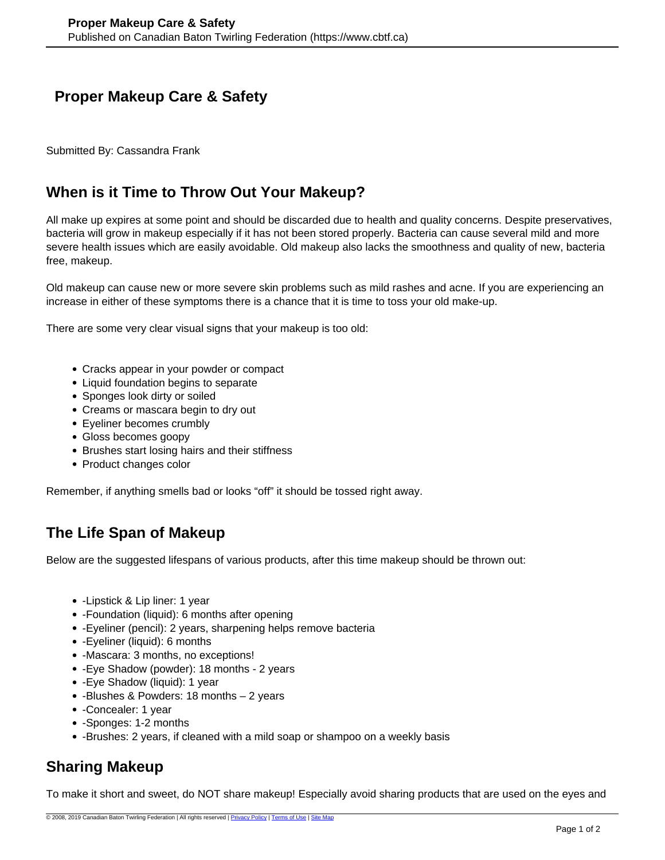## **Proper Makeup Care & Safety**

Submitted By: Cassandra Frank

## **When is it Time to Throw Out Your Makeup?**

All make up expires at some point and should be discarded due to health and quality concerns. Despite preservatives, bacteria will grow in makeup especially if it has not been stored properly. Bacteria can cause several mild and more severe health issues which are easily avoidable. Old makeup also lacks the smoothness and quality of new, bacteria free, makeup.

Old makeup can cause new or more severe skin problems such as mild rashes and acne. If you are experiencing an increase in either of these symptoms there is a chance that it is time to toss your old make-up.

There are some very clear visual signs that your makeup is too old:

- Cracks appear in your powder or compact
- Liquid foundation begins to separate
- Sponges look dirty or soiled
- Creams or mascara begin to dry out
- Eyeliner becomes crumbly
- Gloss becomes goopy
- Brushes start losing hairs and their stiffness
- Product changes color

Remember, if anything smells bad or looks "off" it should be tossed right away.

# **The Life Span of Makeup**

Below are the suggested lifespans of various products, after this time makeup should be thrown out:

- -Lipstick & Lip liner: 1 year
- -Foundation (liquid): 6 months after opening
- -Eyeliner (pencil): 2 years, sharpening helps remove bacteria
- -Eyeliner (liquid): 6 months
- - Mascara: 3 months, no exceptions!
- -Eye Shadow (powder): 18 months 2 years
- -Eye Shadow (liquid): 1 year
- - Blushes & Powders: 18 months 2 years
- -Concealer: 1 year
- -Sponges: 1-2 months
- Brushes: 2 years, if cleaned with a mild soap or shampoo on a weekly basis

# **Sharing Makeup**

To make it short and sweet, do NOT share makeup! Especially avoid sharing products that are used on the eyes and